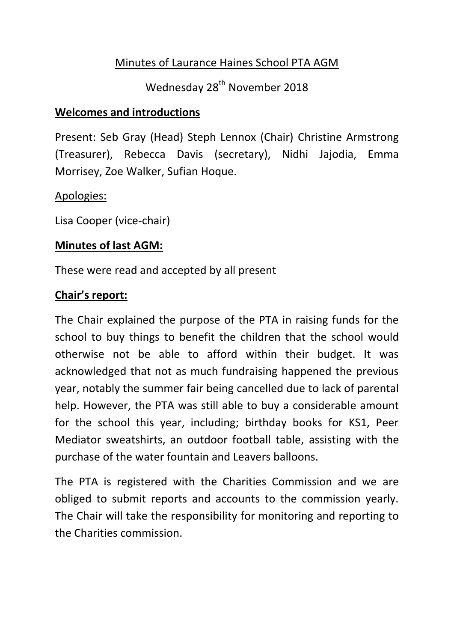### Minutes of Laurance Haines School PTA AGM

# Wednesday 28<sup>th</sup> November 2018

#### **Welcomes and introductions**

Present: Seb Gray (Head) Steph Lennox (Chair) Christine Armstrong (Treasurer), Rebecca Davis (secretary), Nidhi Jajodia, Emma Morrisey, Zoe Walker, Sufian Hoque.

#### Apologies:

Lisa Cooper (vice-chair)

#### **Minutes of last AGM:**

These were read and accepted by all present

#### **Chair's report:**

The Chair explained the purpose of the PTA in raising funds for the school to buy things to benefit the children that the school would otherwise not be able to afford within their budget. It was acknowledged that not as much fundraising happened the previous year, notably the summer fair being cancelled due to lack of parental help. However, the PTA was still able to buy a considerable amount for the school this year, including; birthday books for KS1, Peer Mediator sweatshirts, an outdoor football table, assisting with the purchase of the water fountain and Leavers balloons.

The PTA is registered with the Charities Commission and we are obliged to submit reports and accounts to the commission yearly. The Chair will take the responsibility for monitoring and reporting to the Charities commission.